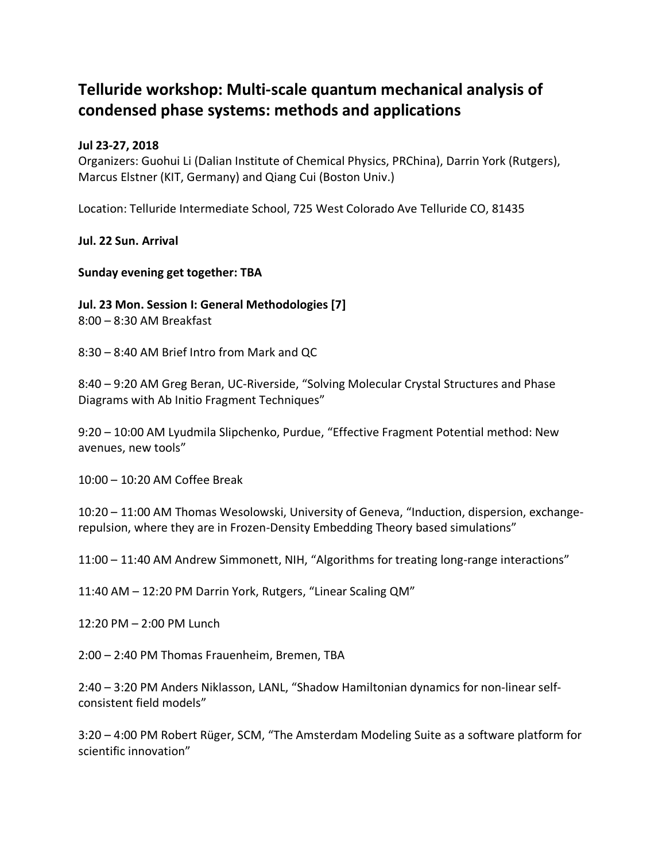# **Telluride workshop: Multi-scale quantum mechanical analysis of condensed phase systems: methods and applications**

### **Jul 23-27, 2018**

Organizers: Guohui Li (Dalian Institute of Chemical Physics, PRChina), Darrin York (Rutgers), Marcus Elstner (KIT, Germany) and Qiang Cui (Boston Univ.)

Location: Telluride Intermediate School, 725 West Colorado Ave Telluride CO, 81435

**Jul. 22 Sun. Arrival**

**Sunday evening get together: TBA**

**Jul. 23 Mon. Session I: General Methodologies [7]** 

8:00 – 8:30 AM Breakfast

8:30 – 8:40 AM Brief Intro from Mark and QC

8:40 – 9:20 AM Greg Beran, UC-Riverside, "Solving Molecular Crystal Structures and Phase Diagrams with Ab Initio Fragment Techniques"

9:20 – 10:00 AM Lyudmila Slipchenko, Purdue, "Effective Fragment Potential method: New avenues, new tools"

10:00 – 10:20 AM Coffee Break

10:20 – 11:00 AM Thomas Wesolowski, University of Geneva, "Induction, dispersion, exchangerepulsion, where they are in Frozen-Density Embedding Theory based simulations"

11:00 – 11:40 AM Andrew Simmonett, NIH, "Algorithms for treating long-range interactions"

11:40 AM – 12:20 PM Darrin York, Rutgers, "Linear Scaling QM"

12:20 PM – 2:00 PM Lunch

2:00 – 2:40 PM Thomas Frauenheim, Bremen, TBA

2:40 – 3:20 PM Anders Niklasson, LANL, "Shadow Hamiltonian dynamics for non-linear selfconsistent field models"

3:20 – 4:00 PM Robert Rüger, SCM, "The Amsterdam Modeling Suite as a software platform for scientific innovation"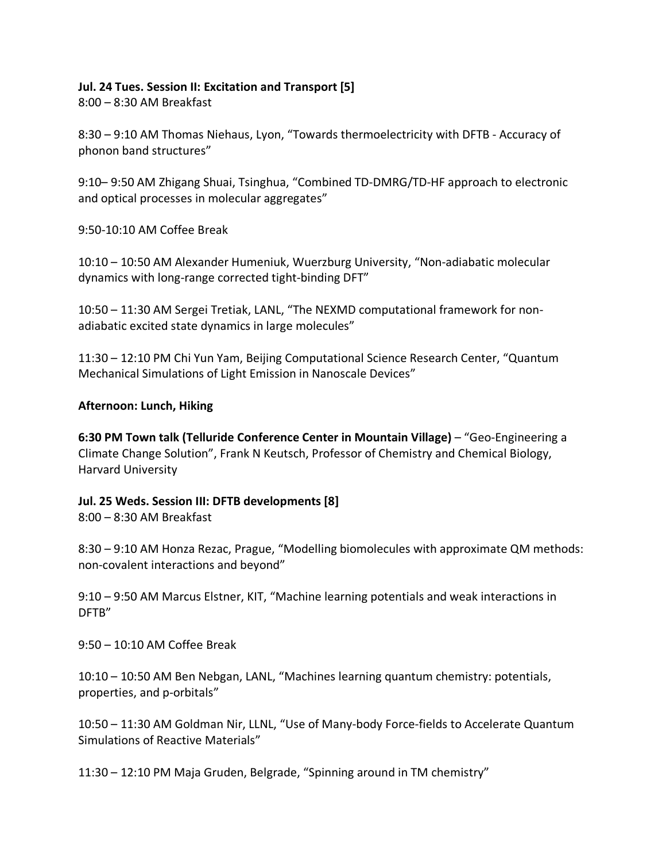#### **Jul. 24 Tues. Session II: Excitation and Transport [5]**

8:00 – 8:30 AM Breakfast

8:30 – 9:10 AM Thomas Niehaus, Lyon, "Towards thermoelectricity with DFTB - Accuracy of phonon band structures"

9:10– 9:50 AM Zhigang Shuai, Tsinghua, "Combined TD-DMRG/TD-HF approach to electronic and optical processes in molecular aggregates"

9:50-10:10 AM Coffee Break

10:10 – 10:50 AM Alexander Humeniuk, Wuerzburg University, "Non-adiabatic molecular dynamics with long-range corrected tight-binding DFT"

10:50 – 11:30 AM Sergei Tretiak, LANL, "The NEXMD computational framework for nonadiabatic excited state dynamics in large molecules"

11:30 – 12:10 PM Chi Yun Yam, Beijing Computational Science Research Center, "Quantum Mechanical Simulations of Light Emission in Nanoscale Devices"

#### **Afternoon: Lunch, Hiking**

**6:30 PM Town talk (Telluride Conference Center in Mountain Village)** – "Geo-Engineering a Climate Change Solution", Frank N Keutsch, Professor of Chemistry and Chemical Biology, Harvard University

#### **Jul. 25 Weds. Session III: DFTB developments [8]**

8:00 – 8:30 AM Breakfast

8:30 – 9:10 AM Honza Rezac, Prague, "Modelling biomolecules with approximate QM methods: non-covalent interactions and beyond"

9:10 – 9:50 AM Marcus Elstner, KIT, "Machine learning potentials and weak interactions in DFTB"

9:50 – 10:10 AM Coffee Break

10:10 – 10:50 AM Ben Nebgan, LANL, "Machines learning quantum chemistry: potentials, properties, and p-orbitals"

10:50 – 11:30 AM Goldman Nir, LLNL, "Use of Many-body Force-fields to Accelerate Quantum Simulations of Reactive Materials"

11:30 – 12:10 PM Maja Gruden, Belgrade, "Spinning around in TM chemistry"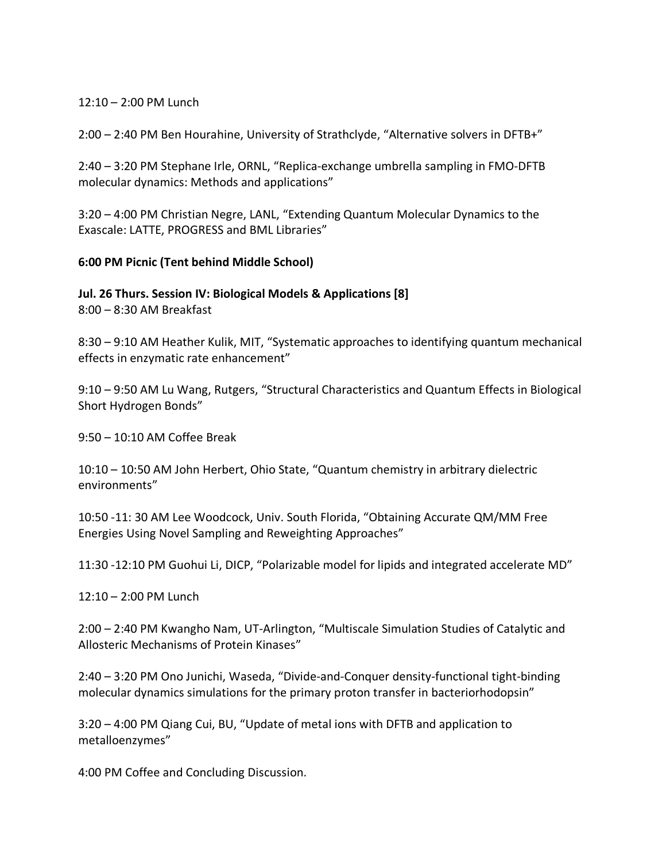#### 12:10 – 2:00 PM Lunch

2:00 – 2:40 PM Ben Hourahine, University of Strathclyde, "Alternative solvers in DFTB+"

2:40 – 3:20 PM Stephane Irle, ORNL, "Replica-exchange umbrella sampling in FMO-DFTB molecular dynamics: Methods and applications"

3:20 – 4:00 PM Christian Negre, LANL, "Extending Quantum Molecular Dynamics to the Exascale: LATTE, PROGRESS and BML Libraries"

#### **6:00 PM Picnic (Tent behind Middle School)**

**Jul. 26 Thurs. Session IV: Biological Models & Applications [8]** 8:00 – 8:30 AM Breakfast

8:30 – 9:10 AM Heather Kulik, MIT, "Systematic approaches to identifying quantum mechanical effects in enzymatic rate enhancement"

9:10 – 9:50 AM Lu Wang, Rutgers, "Structural Characteristics and Quantum Effects in Biological Short Hydrogen Bonds"

9:50 – 10:10 AM Coffee Break

10:10 – 10:50 AM John Herbert, Ohio State, "Quantum chemistry in arbitrary dielectric environments"

10:50 -11: 30 AM Lee Woodcock, Univ. South Florida, "Obtaining Accurate QM/MM Free Energies Using Novel Sampling and Reweighting Approaches"

11:30 -12:10 PM Guohui Li, DICP, "Polarizable model for lipids and integrated accelerate MD"

12:10 – 2:00 PM Lunch

2:00 – 2:40 PM Kwangho Nam, UT-Arlington, "Multiscale Simulation Studies of Catalytic and Allosteric Mechanisms of Protein Kinases"

2:40 – 3:20 PM Ono Junichi, Waseda, "Divide-and-Conquer density-functional tight-binding molecular dynamics simulations for the primary proton transfer in bacteriorhodopsin"

3:20 – 4:00 PM Qiang Cui, BU, "Update of metal ions with DFTB and application to metalloenzymes"

4:00 PM Coffee and Concluding Discussion.